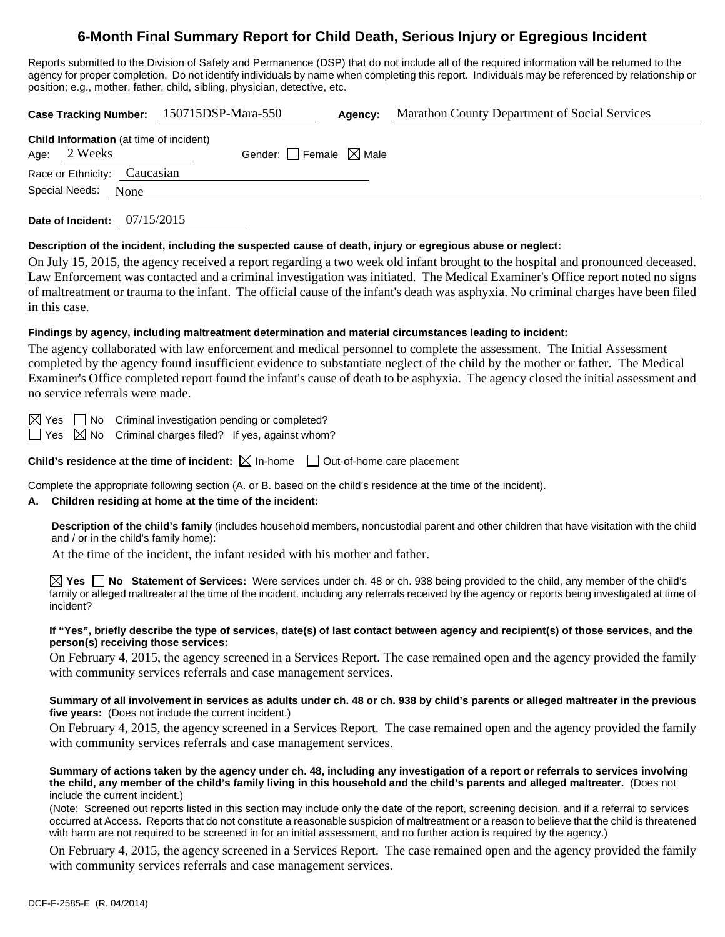# **6-Month Final Summary Report for Child Death, Serious Injury or Egregious Incident**

Reports submitted to the Division of Safety and Permanence (DSP) that do not include all of the required information will be returned to the agency for proper completion. Do not identify individuals by name when completing this report. Individuals may be referenced by relationship or position; e.g., mother, father, child, sibling, physician, detective, etc.

**Case Tracking Number:** 150715DSP-Mara-550 **Agency:** Marathon County Department of Social Services

| <b>Child Information</b> (at time of incident) |  |                                        |  |  |  |
|------------------------------------------------|--|----------------------------------------|--|--|--|
| Age: 2 Weeks                                   |  | Gender: $\Box$ Female $\boxtimes$ Male |  |  |  |
| Race or Ethnicity: Caucasian                   |  |                                        |  |  |  |
| Special Needs: None                            |  |                                        |  |  |  |
|                                                |  |                                        |  |  |  |

**Date of Incident:** 07/15/2015

#### **Description of the incident, including the suspected cause of death, injury or egregious abuse or neglect:**

On July 15, 2015, the agency received a report regarding a two week old infant brought to the hospital and pronounced deceased. Law Enforcement was contacted and a criminal investigation was initiated. The Medical Examiner's Office report noted no signs of maltreatment or trauma to the infant. The official cause of the infant's death was asphyxia. No criminal charges have been filed in this case.

#### **Findings by agency, including maltreatment determination and material circumstances leading to incident:**

The agency collaborated with law enforcement and medical personnel to complete the assessment. The Initial Assessment completed by the agency found insufficient evidence to substantiate neglect of the child by the mother or father. The Medical Examiner's Office completed report found the infant's cause of death to be asphyxia. The agency closed the initial assessment and no service referrals were made.

 $\boxtimes$  Yes  $\Box$  No Criminal investigation pending or completed?

 $\Box$  Yes  $\boxtimes$  No Criminal charges filed? If yes, against whom?

**Child's residence at the time of incident:**  $\boxtimes$  In-home  $\Box$  Out-of-home care placement

Complete the appropriate following section (A. or B. based on the child's residence at the time of the incident).

## **A. Children residing at home at the time of the incident:**

**Description of the child's family** (includes household members, noncustodial parent and other children that have visitation with the child and / or in the child's family home):

At the time of the incident, the infant resided with his mother and father.

**Yes No Statement of Services:** Were services under ch. 48 or ch. 938 being provided to the child, any member of the child's family or alleged maltreater at the time of the incident, including any referrals received by the agency or reports being investigated at time of incident?

#### **If "Yes", briefly describe the type of services, date(s) of last contact between agency and recipient(s) of those services, and the person(s) receiving those services:**

On February 4, 2015, the agency screened in a Services Report. The case remained open and the agency provided the family with community services referrals and case management services.

#### **Summary of all involvement in services as adults under ch. 48 or ch. 938 by child's parents or alleged maltreater in the previous five years:** (Does not include the current incident.)

On February 4, 2015, the agency screened in a Services Report. The case remained open and the agency provided the family with community services referrals and case management services.

#### **Summary of actions taken by the agency under ch. 48, including any investigation of a report or referrals to services involving the child, any member of the child's family living in this household and the child's parents and alleged maltreater.** (Does not include the current incident.)

(Note: Screened out reports listed in this section may include only the date of the report, screening decision, and if a referral to services occurred at Access. Reports that do not constitute a reasonable suspicion of maltreatment or a reason to believe that the child is threatened with harm are not required to be screened in for an initial assessment, and no further action is required by the agency.)

On February 4, 2015, the agency screened in a Services Report. The case remained open and the agency provided the family with community services referrals and case management services.